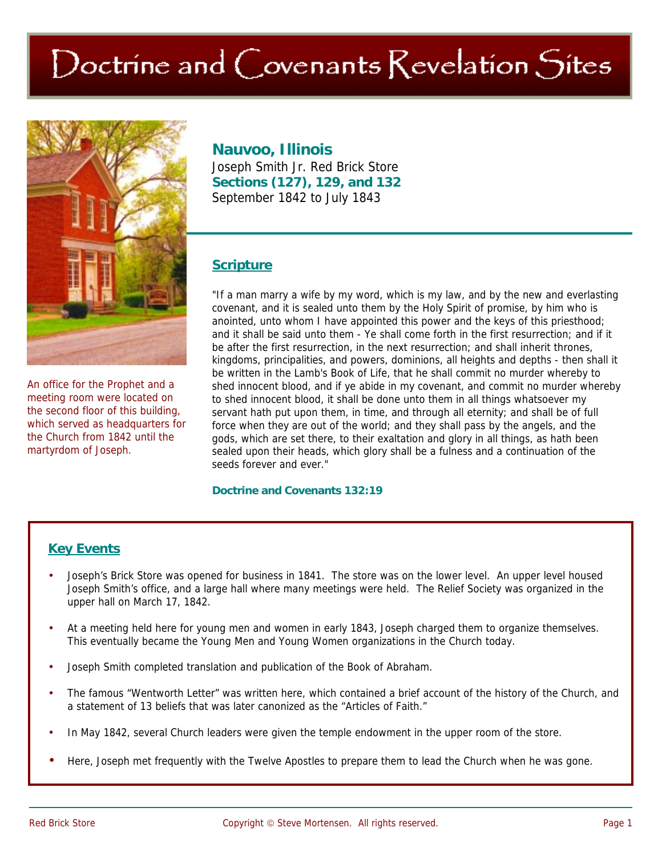# Doctrine and Covenants Revelation Sites



An office for the Prophet and a meeting room were located on the second floor of this building, which served as headquarters for the Church from 1842 until the martyrdom of Joseph.

## **Nauvoo, Illinois**

Joseph Smith Jr. Red Brick Store **Sections (127), 129, and 132**  September 1842 to July 1843

## **Scripture**

"If a man marry a wife by my word, which is my law, and by the new and everlasting covenant, and it is sealed unto them by the Holy Spirit of promise, by him who is anointed, unto whom I have appointed this power and the keys of this priesthood; and it shall be said unto them - Ye shall come forth in the first resurrection; and if it be after the first resurrection, in the next resurrection; and shall inherit thrones, kingdoms, principalities, and powers, dominions, all heights and depths - then shall it be written in the Lamb's Book of Life, that he shall commit no murder whereby to shed innocent blood, and if ye abide in my covenant, and commit no murder whereby to shed innocent blood, it shall be done unto them in all things whatsoever my servant hath put upon them, in time, and through all eternity; and shall be of full force when they are out of the world; and they shall pass by the angels, and the gods, which are set there, to their exaltation and glory in all things, as hath been sealed upon their heads, which glory shall be a fulness and a continuation of the seeds forever and ever."

#### **Doctrine and Covenants 132:19**

### **Key Events**

- Joseph's Brick Store was opened for business in 1841. The store was on the lower level. An upper level housed Joseph Smith's office, and a large hall where many meetings were held. The Relief Society was organized in the upper hall on March 17, 1842.
- At a meeting held here for young men and women in early 1843, Joseph charged them to organize themselves. This eventually became the Young Men and Young Women organizations in the Church today.
- Joseph Smith completed translation and publication of the Book of Abraham.
- The famous "Wentworth Letter" was written here, which contained a brief account of the history of the Church, and a statement of 13 beliefs that was later canonized as the "Articles of Faith."
- In May 1842, several Church leaders were given the temple endowment in the upper room of the store.
- Here, Joseph met frequently with the Twelve Apostles to prepare them to lead the Church when he was gone.